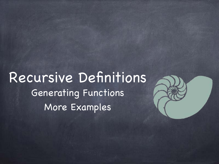Recursive Definitions Generating Functions More Examples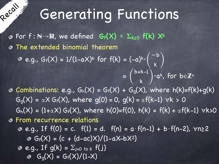# Generating Functions

For f : N→R, we defined **Gf(X)** ≜ **Σk≥0 f(k)**⋅**X<sup>k</sup>** The extended binomial theorem

acall

e.g.,  $G_f(X) = 1/(1-aX)^b$  for  $f(k) = (-a)^k \cdot$  $\sqrt{2}$  $-\mathsf{b}$ k )

**O** Combinations: e.g.,  $G_h(X) = G_f(X) + G_g(X)$ , where  $h(k)=f(k)+g(k)$  $G_q(X) = \alpha X G_f(X)$ , where  $g(0) = 0$ ,  $g(k) = \alpha f(k-1)$   $\forall k > 0$  $G_h(X) = (1+\alpha X) G_f(X)$ , where h(0)=f(0), h(k) = f(k) +  $\alpha f(k-1)$   $\forall k>0$ From recurrence relations **e.g., If f(0) = c.** f(1) = d. f(n) = a⋅f(n-1) + b⋅f(n-2),  $\forall n \ge 2$  $G_f(X) = (c + (d-ac)X)/(1-aX-bX^2)$  $e.g.,$  If  $g(k) = \sum_{j=0}^{k} t_{0} k f(j)$  $G_q(X) = G_f(X)/(1-X)$  $\circ$ 

 $= \begin{pmatrix} D+K-1 \end{pmatrix} \cdot a^k$ , for b $\in \mathbb{Z}^+$ 

 $\overline{ }$ 

b+k-1

k )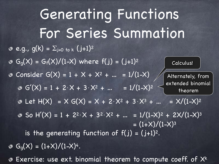**e.g., g(k)** =  $\Sigma_{j=0 \text{ to } k}$  (j+1)<sup>2</sup>  $G_{g}(X) = G_{f}(X)/(1-X)$  where  $f(j) = (j+1)^{2}$  $\bullet$  Consider  $G(X) = 1 + X + X^2 + ... = 1/(1-X)$  $G'(X) = 1 + 2 \cdot X + 3 \cdot X^2 + ... = 1/(1-X)^2$  $\bullet$  Let H(X) = X G(X) = X + 2⋅X<sup>2</sup> + 3⋅X<sup>3</sup> + … = X/(1-X)<sup>2</sup>  $\bullet$  So H'(X) = 1 + 2<sup>2</sup>⋅X + 3<sup>2</sup>⋅X<sup>2</sup> + … = 1/(1-X)<sup>2</sup> + 2X/(1-X)<sup>3</sup>  $= (1+\times)/(1-\times)^3$ is the generating function of  $f(j) = (j+1)^2$ .  $G_{q}(X) = (1+X)/(1-X)^{4}$ . Exercise: use ext. binomial theorem to compute coeff. of X<sup>k</sup> Generating Functions For Series Summation Calculus! Alternately, from extended binomial theorem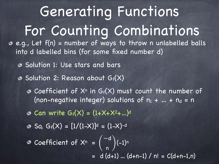e.g., Let f(n) = number of ways to throw n unlabelled balls into d labelled bins (for some fixed number d) Solution 1: Use stars and bars  $\bullet$  Solution 2: Reason about Gf(X)  $\bullet$  Coefficient of  $X^n$  in Gf(X) must count the number of (non-negative integer) solutions of  $n_1 + ... + n_d = n$  $\odot$  Can write  $G_f(X) = (1 + X + X^2 + ...)$ d  $\bullet$  So, Gf(X) =  $[1/(1-X)]^d = (1-X)^{-d}$ Coefficient of  $X^n = \begin{pmatrix} 1 & 1 & 0 \\ 0 & 1 & 0 \end{pmatrix} (-1)^n$  $= d \overline{(d+1)...(d+n-1) / n!} = C(d+n-1,n)$  $\overline{\mathcal{L}}$ −d n ) For Counting Combinations Generating Functions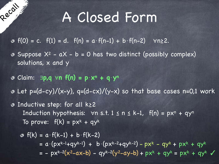$\bullet$  f(0) = c. f(1) = d. f(n) = a⋅f(n-1) + b⋅f(n-2)  $\forall$ n≥2.

- $\bullet$  Suppose  $X^2$   $aX b = 0$  has two distinct (possibly complex) solutions, x and y
- Claim: ∃**p,q** ∀**n f(n) = p**⋅**xn + q**⋅**y<sup>n</sup>**

Recall

- $\theta$  Let p=(d-cy)/(x-y), q=(d-cx)/(y-x) so that base cases n=0,1 work
- Inductive step: for all k≥2 Induction hypothesis:  $\forall n \leq t$ . 1  $\leq n \leq k-1$ ,  $f(n) = px^n + qy^n$ To prove:  $f(k) = px^{k} + qy^{k}$

$$
\Phi f(k) = a \cdot f(k-1) + b \cdot f(k-2)
$$
  
=  $a \cdot (px^{k-1}+qy^{k-1}) + b \cdot (px^{k-2}+qy^{k-2}) - px^k - qy^k + px^k + qy^k$   
=  $- px^{k-2}(x^2-ax-b) - qy^{k-2}(y^2-ay-b) + px^k + qy^k = px^k + qy^k$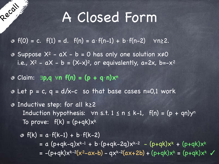$\bullet$  f(0) = c. f(1) = d. f(n) = a⋅f(n-1) + b⋅f(n-2)  $\forall$ n≥2.

- $\bullet$  Suppose  $X^2$   $aX b = 0$  has only one solution  $x \ne 0$ i.e.,  $X^2$  -  $aX - b = (X-x)^2$ , or equivalently, a=2x, b=-x<sup>2</sup>
- Claim: ∃**p,q** ∀**n f(n) = (p + q**⋅**n)x<sup>n</sup>**

Recall

- $\infty$  Let  $p = c$ ,  $q = d/x-c$  so that base cases n=0,1 work
- Inductive step: for all k≥2 Induction hypothesis:  $\forall n \leq t$ . 1  $\leq n \leq k-1$ ,  $f(n) = (p + qn)y^n$ To prove:  $f(k) = (p+qk)x^{k}$

$$
\begin{aligned}\n\Phi \ f(k) &= a \cdot f(k-1) + b \cdot f(k-2) \\
&= a \ (p+qk-q)x^{k-1} + b \cdot (p+qk-2q)x^{k-2} - (p+qk)x^k + (p+qk)x^k \\
&= -(p+qk)x^{k-2}(x^2-ax-b) - qx^{k-2}(ax+2b) + (p+qk)x^k = (p+qk)x^k\n\end{aligned}
$$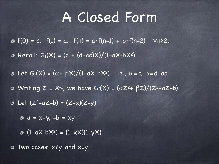**8** Recall:  $G_f(X) = (c + (d-ac)X)/(1-aX-bX^2)$  $\circ$  f(0) = c. f(1) = d. f(n) = a⋅f(n-1) + b⋅f(n-2)  $\forall$ n≥2.

- $\circ$  Let  $G_f(X) = (\alpha + \beta X)/(1-aX-bX^2)$ . i.e.,  $\alpha = c$ ,  $\beta = d-ac$ .  $\bullet$  Writing Z = X<sup>-1</sup>, we have G<sub>f</sub>(X) = ( $\alpha$ Z<sup>2</sup>+  $\beta$ Z)/(Z<sup>2</sup>-aZ-b)
- $\overline{\circ}$  Let  $(Z^2-aZ-b) = (Z-x)(Z-y)$ 
	- $a = x+y$ ,  $-b = xy$
	- $\bullet$   $(1-aX-bX^2) = (1-xX)(1-yX)$

Two cases: x≠y and x=y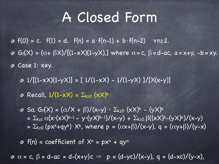Case 1: x≠y.  $\bullet$  f(0) = c. f(1) = d. f(n) = a⋅f(n-1) + b⋅f(n-2)  $\forall$ n≥2.  $G_f(X) = (\alpha + \beta X) / [(1 - xX)(1 - yX)]$  where  $\alpha = c$ ,  $\beta = d - ac$ ,  $\alpha = x + y$ ,  $-b = xy$ .

 $\theta$  1/[(1-xX)(1-yX)] = [ 1/(1-xX) - 1/(1-yX) ]/[X(x-y)]

**8** Recall,  $1/(1-xX) = \sum_{k\geq 0} (xX)^k$ 

**3** So,  $G_f(X) = (\alpha/X + \beta)/(x-y) \cdot \Sigma_{k \ge 0} (xX)^k - (yX)^k$ =  $\Sigma_{k\geq 1}$   $\alpha(x\cdot (x\cdot x)^{k-1} - y\cdot (y\cdot x)^{k-1})/(x-y) + \Sigma_{k\geq 0}$   $\beta((x\cdot x)^{k}-(y\cdot x)^{k})/(x-y)$ =  $\Sigma_{k\geq0}$  (px<sup>k</sup>+qy<sup>k</sup>)⋅X<sup>k</sup>, where p =  $(\alpha x+\beta)/(x-y)$ , q =  $(\alpha y+\beta)/(y-x)$ 

 $\phi$  f(n) = coefficient of  $X^n = px^n + qy^n$ 

 $\alpha$   $\alpha$  = c,  $\beta$  = d-ac = d-(x+y)c  $\Rightarrow$  p = (d-yc)/(x-y), q = (d-xc)/(y-x),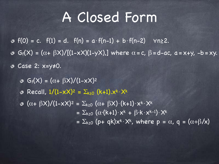Case 2: x=y≠0.  $\circ$  f(0) = c. f(1) = d. f(n) = a⋅f(n-1) + b⋅f(n-2)  $\forall$ n≥2.  $G_f(X) = (\alpha + \beta X)/[(1-xX)(1-yX)]$  where  $\alpha = c$ ,  $\beta = d - ac$ ,  $\alpha = x+y$ ,  $-b = xy$ .

 $G_f(X) = (\alpha + \beta X)/(1-XX)^2$ **8** Recall,  $1/(1-x)(2) = \sum_{k\ge0} (k+1) x^k \cdot x^k$  $\sigma$   $(\alpha + \beta X)/(1-\overline{X})^2 = \sum_{k\geq 0} (\alpha + \beta X) \cdot (k+1) \cdot X^k \cdot X^k$  $= \sum_{k\geq 0} (\alpha \cdot (k+1) \cdot x^k + \beta \cdot k \cdot x^{k-1}) \cdot x^k$ =  $\Sigma_{k\geq0}$  (p+ qk)x<sup>k</sup>·X<sup>k</sup>, where p =  $\alpha$ , q =  $(\alpha+\beta)/x$ )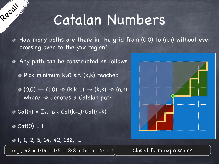### Catalan Numbers

How many paths are there in the grid from (0,0) to (n,n) without ever ◈ crossing over to the y>x region?

Any path can be constructed as follows

Pick minimum k>0 s.t. (k,k) reached

 $\phi$  (0,0)  $\rightarrow$  (1,0)  $\Rightarrow$  (k,k-1)  $\rightarrow$  (k,k)  $\Rightarrow$  (n,n) where  $\Rightarrow$  denotes a Catalan path

 $\bullet$  Cat(n) =  $\Sigma_{k=1 \text{ to } n}$  Cat(k-1) $\cdot$ Cat(n-k)  $\odot$  Cat(0) = 1

1, 1, 2, 5, 14, 42, 132, …

Recall

e.g.,  $42 = 1.14 + 1.5 + 2.2 + 5.1 + 14.1$ 

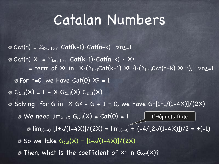#### Catalan Numbers

 $\odot$  Cat(n) =  $\Sigma_{k=1 \text{ to } n}$  Cat(k-1) $\cdot$ Cat(n-k)  $\forall$ n>=1  $\bullet$  Cat(n)  $X^n = \sum_{k=1 \text{ to } n} Cat(k-1) \cdot Cat(n-k) \cdot X^n$ = term of  $X^n$  in  $X \cdot (\sum_{k\geq 1} Cat(k-1) X^{k-1}) \cdot (\sum_{k\leq n} Cat(n-k) X^{n-k})$ ,  $\forall n \geq -1$  $\bullet$  For n=0, we have Cat(0)  $X^0 = 1$  $G_{\text{Cat}}(X) = 1 + X G_{\text{Cat}}(X) G_{\text{Cat}}(X)$ **Solving for G in**  $X \cdot G^2$  - G + 1 = 0, we have  $G=[1\pm\sqrt{(1-4X)}]/(2X)$ We need  $\mathsf{lim}_{\mathsf{X}\rightarrow\mathsf{O}}$   $\mathsf{G}_{\mathsf{cat}}(\mathsf{X})$  =  $\mathsf{Cat}(\mathsf{O})$  =  $1$   $\quad$   $\quad$   $\quad$  L'Hôpital's Rule  $\bullet$  lim<sub>X→0</sub>  $[1\pm\sqrt{(1-4\lambda)}]/(2\lambda) = \lim_{x\to 0} \pm (-4/[2\sqrt{(1-4\lambda)}])/2 = \pm (-1)$  $\bullet$  So we take  $G_{cat}(X) = [1 - \sqrt{(1 - 4X)}]/(2X)$  $\bullet$  Then, what is the coefficient of  $X^n$  in  $G_{cat}(X)$ ?